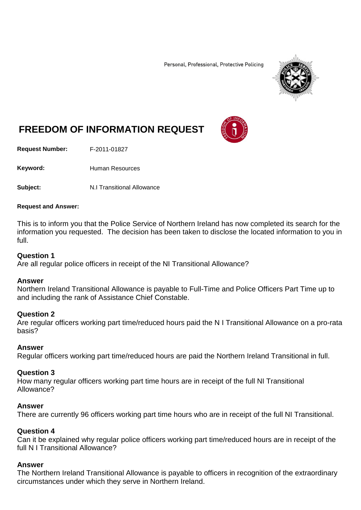Personal, Professional, Protective Policing



# **FREEDOM OF INFORMATION REQUEST**

**Request Number:** F-2011-01827

Keyword: Human Resources

**Subject:** N.I Transitional Allowance

#### **Request and Answer:**

This is to inform you that the Police Service of Northern Ireland has now completed its search for the information you requested. The decision has been taken to disclose the located information to you in full.

### **Question 1**

Are all regular police officers in receipt of the NI Transitional Allowance?

#### **Answer**

Northern Ireland Transitional Allowance is payable to Full-Time and Police Officers Part Time up to and including the rank of Assistance Chief Constable.

## **Question 2**

Are regular officers working part time/reduced hours paid the N I Transitional Allowance on a pro-rata basis?

#### **Answer**

Regular officers working part time/reduced hours are paid the Northern Ireland Transitional in full.

#### **Question 3**

How many regular officers working part time hours are in receipt of the full NI Transitional Allowance?

#### **Answer**

There are currently 96 officers working part time hours who are in receipt of the full NI Transitional.

#### **Question 4**

Can it be explained why regular police officers working part time/reduced hours are in receipt of the full N I Transitional Allowance?

#### **Answer**

The Northern Ireland Transitional Allowance is payable to officers in recognition of the extraordinary circumstances under which they serve in Northern Ireland.